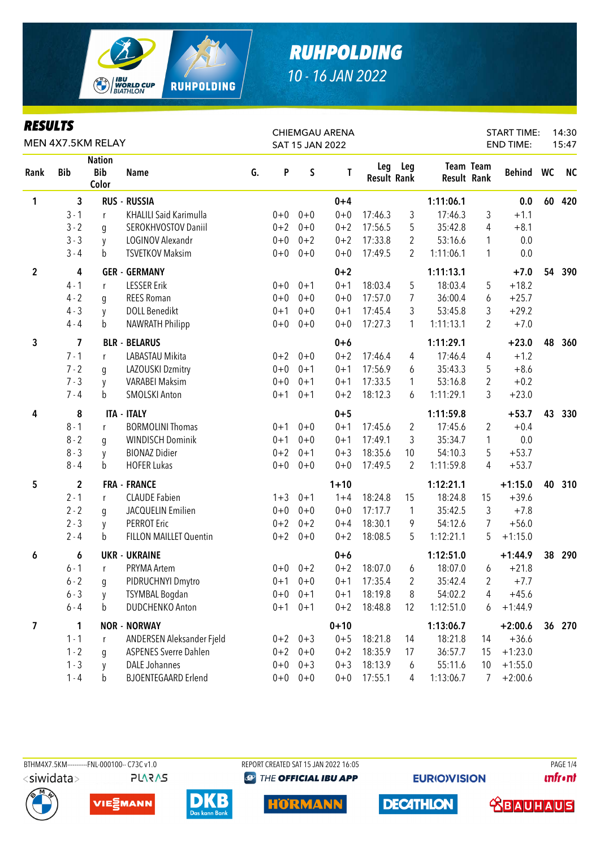

| KEYULIY<br>MEN 4X7.5KM RELAY |              |                                      |                              | <b>CHIEMGAU ARENA</b><br>SAT 15 JAN 2022 |         |             |          |                           |                |                    | <b>START TIME:</b><br><b>END TIME:</b> |           | 14:30<br>15:47 |           |
|------------------------------|--------------|--------------------------------------|------------------------------|------------------------------------------|---------|-------------|----------|---------------------------|----------------|--------------------|----------------------------------------|-----------|----------------|-----------|
| Rank                         | <b>Bib</b>   | <b>Nation</b><br><b>Bib</b><br>Color | <b>Name</b>                  | G.                                       | P       | $\sf S$     | T        | Leg<br><b>Result Rank</b> | Leg            | <b>Result Rank</b> | <b>Team Team</b>                       | Behind WC |                | <b>NC</b> |
| 1                            | 3            |                                      | <b>RUS - RUSSIA</b>          |                                          |         |             | $0 + 4$  |                           |                | 1:11:06.1          |                                        | 0.0       | 60             | 420       |
|                              | $3 - 1$      | r                                    | KHALILI Said Karimulla       |                                          | $0 + 0$ | $0 + 0$     | $0 + 0$  | 17:46.3                   | 3              | 17:46.3            | 3                                      | $+1.1$    |                |           |
|                              | $3 - 2$      | q                                    | SEROKHVOSTOV Daniil          |                                          | $0 + 2$ | $0 + 0$     | $0 + 2$  | 17:56.5                   | 5              | 35:42.8            | 4                                      | $+8.1$    |                |           |
|                              | $3 - 3$      | y                                    | LOGINOV Alexandr             |                                          | $0+0$   | $0 + 2$     | $0 + 2$  | 17:33.8                   | $\overline{2}$ | 53:16.6            | 1                                      | 0.0       |                |           |
|                              | $3 - 4$      | b                                    | <b>TSVETKOV Maksim</b>       |                                          | $0+0$   | $0 + 0$     | $0 + 0$  | 17:49.5                   | 2              | 1:11:06.1          | 1                                      | 0.0       |                |           |
| $\overline{2}$               | 4            |                                      | <b>GER - GERMANY</b>         |                                          |         |             | $0 + 2$  |                           |                | 1:11:13.1          |                                        | $+7.0$    | 54             | 390       |
|                              | $4 - 1$      | r                                    | <b>LESSER Erik</b>           |                                          | $0+0$   | $0 + 1$     | $0 + 1$  | 18:03.4                   | 5              | 18:03.4            | 5                                      | $+18.2$   |                |           |
|                              | $4 - 2$      | g                                    | <b>REES Roman</b>            |                                          | $0 + 0$ | $0 + 0$     | $0 + 0$  | 17:57.0                   | 7              | 36:00.4            | 6                                      | $+25.7$   |                |           |
|                              | $4 - 3$      | y                                    | <b>DOLL Benedikt</b>         |                                          | $0 + 1$ | $0 + 0$     | $0 + 1$  | 17:45.4                   | 3              | 53:45.8            | 3                                      | $+29.2$   |                |           |
|                              | $4 - 4$      | b                                    | <b>NAWRATH Philipp</b>       |                                          | $0+0$   | $0 + 0$     | $0 + 0$  | 17:27.3                   | $\mathbf{1}$   | 1:11:13.1          | 2                                      | $+7.0$    |                |           |
| 3                            | 7            |                                      | <b>BLR - BELARUS</b>         |                                          |         |             | $0+6$    |                           |                | 1:11:29.1          |                                        | $+23.0$   | 48             | 360       |
|                              | $7 - 1$      | r                                    | LABASTAU Mikita              |                                          | $0 + 2$ | $0 + 0$     | $0 + 2$  | 17:46.4                   | 4              | 17:46.4            | 4                                      | $+1.2$    |                |           |
|                              | $7 - 2$      | g                                    | LAZOUSKI Dzmitry             |                                          | $0 + 0$ | $0 + 1$     | $0 + 1$  | 17:56.9                   | 6              | 35:43.3            | 5                                      | $+8.6$    |                |           |
|                              | $7 - 3$      | y                                    | <b>VARABEI Maksim</b>        |                                          | $0 + 0$ | $0 + 1$     | $0 + 1$  | 17:33.5                   | $\mathbf{1}$   | 53:16.8            | 2                                      | $+0.2$    |                |           |
|                              | $7 - 4$      | b                                    | <b>SMOLSKI Anton</b>         |                                          | $0 + 1$ | $0 + 1$     | $0 + 2$  | 18:12.3                   | 6              | 1:11:29.1          | 3                                      | $+23.0$   |                |           |
| 4                            | 8            |                                      | <b>ITA - ITALY</b>           |                                          |         |             | $0 + 5$  |                           |                | 1:11:59.8          |                                        | $+53.7$   | 43             | 330       |
|                              | $8 - 1$      | r                                    | <b>BORMOLINI Thomas</b>      |                                          | $0 + 1$ | $0 + 0$     | $0 + 1$  | 17:45.6                   | $\overline{2}$ | 17:45.6            | $\overline{2}$                         | $+0.4$    |                |           |
|                              | $8 - 2$      | g                                    | <b>WINDISCH Dominik</b>      |                                          | $0 + 1$ | $0 + 0$     | $0 + 1$  | 17:49.1                   | 3              | 35:34.7            | $\mathbf{1}$                           | 0.0       |                |           |
|                              | $8 - 3$      | y                                    | <b>BIONAZ Didier</b>         |                                          | $0 + 2$ | $0 + 1$     | $0 + 3$  | 18:35.6                   | 10             | 54:10.3            | 5                                      | $+53.7$   |                |           |
|                              | $8 - 4$      | b                                    | <b>HOFER Lukas</b>           |                                          | $0+0$   | $0 + 0$     | $0 + 0$  | 17:49.5                   | 2              | 1:11:59.8          | 4                                      | $+53.7$   |                |           |
| 5                            | $\mathbf{2}$ |                                      | <b>FRA - FRANCE</b>          |                                          |         |             | $1 + 10$ |                           |                | 1:12:21.1          |                                        | $+1:15.0$ | 40             | 310       |
|                              | $2 - 1$      | r                                    | <b>CLAUDE Fabien</b>         |                                          | $1 + 3$ | $0 + 1$     | $1 + 4$  | 18:24.8                   | 15             | 18:24.8            | 15                                     | $+39.6$   |                |           |
|                              | $2 - 2$      | g                                    | JACQUELIN Emilien            |                                          | $0+0$   | $0 + 0$     | $0 + 0$  | 17:17.7                   | $\mathbf{1}$   | 35:42.5            | 3                                      | $+7.8$    |                |           |
|                              | $2 - 3$      | y                                    | <b>PERROT Eric</b>           |                                          | $0 + 2$ | $0 + 2$     | $0 + 4$  | 18:30.1                   | 9              | 54:12.6            | 7                                      | $+56.0$   |                |           |
|                              | $2 - 4$      | b                                    | FILLON MAILLET Quentin       |                                          | $0 + 2$ | $0 + 0$     | $0 + 2$  | 18:08.5                   | 5              | 1:12:21.1          | 5                                      | $+1:15.0$ |                |           |
| 6                            | 6            |                                      | <b>UKR - UKRAINE</b>         |                                          |         |             | $0+6$    |                           |                | 1:12:51.0          |                                        | $+1:44.9$ | 38             | 290       |
|                              | $6 - 1$      | r                                    | PRYMA Artem                  |                                          |         | $0+0$ $0+2$ | $0 + 2$  | 18:07.0                   | 6              | 18:07.0            | 6                                      | $+21.8$   |                |           |
|                              | $6 - 2$      | g                                    | PIDRUCHNYI Dmytro            |                                          | $0 + 1$ | $0 + 0$     | $0 + 1$  | 17:35.4                   | 2              | 35:42.4            | 2                                      | $+7.7$    |                |           |
|                              | $6 - 3$      | y                                    | <b>TSYMBAL Bogdan</b>        |                                          | $0+0$   | $0 + 1$     | $0 + 1$  | 18:19.8                   | 8              | 54:02.2            | 4                                      | $+45.6$   |                |           |
|                              | $6 - 4$      | b                                    | <b>DUDCHENKO Anton</b>       |                                          | $0 + 1$ | $0 + 1$     | $0 + 2$  | 18:48.8                   | 12             | 1:12:51.0          | 6                                      | $+1:44.9$ |                |           |
| 7                            | 1            |                                      | <b>NOR - NORWAY</b>          |                                          |         |             | $0 + 10$ |                           |                | 1:13:06.7          |                                        | $+2:00.6$ | 36             | 270       |
|                              | $1 - 1$      | r                                    | ANDERSEN Aleksander Fjeld    |                                          |         | $0+2$ 0+3   | $0 + 5$  | 18:21.8                   | 14             | 18:21.8            | 14                                     | $+36.6$   |                |           |
|                              | $1 - 2$      | g                                    | <b>ASPENES Sverre Dahlen</b> |                                          | $0 + 2$ | $0 + 0$     | $0 + 2$  | 18:35.9                   | 17             | 36:57.7            | 15                                     | $+1:23.0$ |                |           |
|                              | $1 - 3$      | y                                    | <b>DALE Johannes</b>         |                                          | $0+0$   | $0 + 3$     | $0 + 3$  | 18:13.9                   | 6              | 55:11.6            | 10                                     | $+1:55.0$ |                |           |
|                              | $1 - 4$      | b                                    | <b>BJOENTEGAARD Erlend</b>   |                                          | $0+0$   | $0 + 0$     | $0+0$    | 17:55.1                   | 4              | 1:13:06.7          | 7                                      | $+2:00.6$ |                |           |

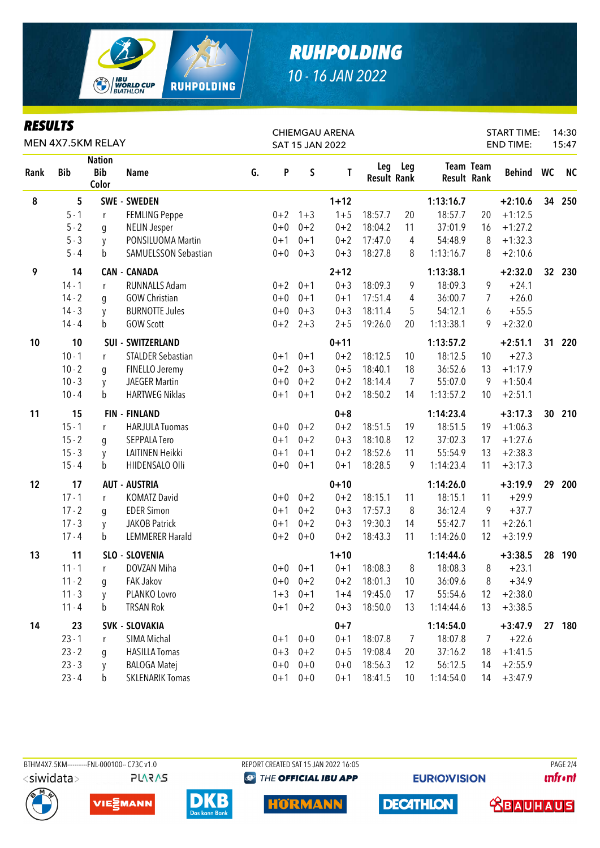

| KEƏVLIƏ<br>MEN 4X7.5KM RELAY |            |                                      |                          | <b>CHIEMGAU ARENA</b><br>SAT 15 JAN 2022 |         |             |          |                           |                |                    |           | <b>START TIME:</b><br><b>END TIME:</b> |                 | 14:30<br>15:47 |
|------------------------------|------------|--------------------------------------|--------------------------|------------------------------------------|---------|-------------|----------|---------------------------|----------------|--------------------|-----------|----------------------------------------|-----------------|----------------|
| Rank                         | <b>Bib</b> | <b>Nation</b><br><b>Bib</b><br>Color | <b>Name</b>              | G.                                       | P       | S           | T        | Leg<br><b>Result Rank</b> | Leg            | <b>Result Rank</b> | Team Team | Behind WC                              |                 | <b>NC</b>      |
| ${\bf 8}$                    | 5          |                                      | <b>SWE - SWEDEN</b>      |                                          |         |             | $1 + 12$ |                           |                | 1:13:16.7          |           | $+2:10.6$                              | 34              | 250            |
|                              | $5 - 1$    | r                                    | <b>FEMLING Peppe</b>     |                                          | $0 + 2$ | $1 + 3$     | $1 + 5$  | 18:57.7                   | 20             | 18:57.7            | 20        | $+1:12.5$                              |                 |                |
|                              | $5 - 2$    | g                                    | <b>NELIN Jesper</b>      |                                          | $0+0$   | $0 + 2$     | $0 + 2$  | 18:04.2                   | 11             | 37:01.9            | 16        | $+1:27.2$                              |                 |                |
|                              | $5 - 3$    | y                                    | PONSILUOMA Martin        |                                          | $0 + 1$ | $0 + 1$     | $0 + 2$  | 17:47.0                   | 4              | 54:48.9            | 8         | $+1:32.3$                              |                 |                |
|                              | $5 - 4$    | b                                    | SAMUELSSON Sebastian     |                                          | $0+0$   | $0 + 3$     | $0 + 3$  | 18:27.8                   | 8              | 1:13:16.7          | 8         | $+2:10.6$                              |                 |                |
| 9                            | 14         |                                      | <b>CAN - CANADA</b>      |                                          |         |             | $2 + 12$ |                           |                | 1:13:38.1          |           | $+2:32.0$                              | 32 <sub>2</sub> | 230            |
|                              | $14 - 1$   | $\mathsf{r}$                         | <b>RUNNALLS Adam</b>     |                                          | $0 + 2$ | $0 + 1$     | $0 + 3$  | 18:09.3                   | 9              | 18:09.3            | 9         | $+24.1$                                |                 |                |
|                              | $14 - 2$   | q                                    | <b>GOW Christian</b>     |                                          | $0 + 0$ | $0 + 1$     | $0 + 1$  | 17:51.4                   | 4              | 36:00.7            | 7         | $+26.0$                                |                 |                |
|                              | $14 - 3$   | y                                    | <b>BURNOTTE Jules</b>    |                                          | $0+0$   | $0 + 3$     | $0 + 3$  | 18:11.4                   | 5              | 54:12.1            | 6         | $+55.5$                                |                 |                |
|                              | $14 - 4$   | b                                    | <b>GOW Scott</b>         |                                          |         | $0+2$ 2+3   | $2 + 5$  | 19:26.0                   | 20             | 1:13:38.1          | 9         | $+2:32.0$                              |                 |                |
| 10                           | 10         |                                      | <b>SUI - SWITZERLAND</b> |                                          |         |             | $0 + 11$ |                           |                | 1:13:57.2          |           | $+2:51.1$                              | 31              | 220            |
|                              | $10 - 1$   | r                                    | <b>STALDER Sebastian</b> |                                          | $0 + 1$ | $0 + 1$     | $0 + 2$  | 18:12.5                   | 10             | 18:12.5            | 10        | $+27.3$                                |                 |                |
|                              | $10 - 2$   | g                                    | FINELLO Jeremy           |                                          | $0 + 2$ | $0 + 3$     | $0 + 5$  | 18:40.1                   | 18             | 36:52.6            | 13        | $+1:17.9$                              |                 |                |
|                              | $10 - 3$   | y                                    | <b>JAEGER Martin</b>     |                                          | $0+0$   | $0 + 2$     | $0 + 2$  | 18:14.4                   | $\overline{7}$ | 55:07.0            | 9         | $+1:50.4$                              |                 |                |
|                              | $10 - 4$   | b                                    | <b>HARTWEG Niklas</b>    |                                          | $0 + 1$ | $0 + 1$     | $0 + 2$  | 18:50.2                   | 14             | 1:13:57.2          | 10        | $+2:51.1$                              |                 |                |
| 11                           | 15         |                                      | <b>FIN - FINLAND</b>     |                                          |         |             | $0 + 8$  |                           |                | 1:14:23.4          |           | $+3:17.3$                              | 30              | 210            |
|                              | $15 - 1$   | $\mathsf{r}$                         | <b>HARJULA Tuomas</b>    |                                          | $0+0$   | $0 + 2$     | $0 + 2$  | 18:51.5                   | 19             | 18:51.5            | 19        | $+1:06.3$                              |                 |                |
|                              | $15 - 2$   | g                                    | <b>SEPPALA Tero</b>      |                                          | $0 + 1$ | $0 + 2$     | $0 + 3$  | 18:10.8                   | 12             | 37:02.3            | 17        | $+1:27.6$                              |                 |                |
|                              | $15 - 3$   | y                                    | LAITINEN Heikki          |                                          | $0 + 1$ | $0 + 1$     | $0 + 2$  | 18:52.6                   | 11             | 55:54.9            | 13        | $+2:38.3$                              |                 |                |
|                              | $15 - 4$   | b                                    | HIIDENSALO Olli          |                                          | $0+0$   | $0 + 1$     | $0 + 1$  | 18:28.5                   | 9              | 1:14:23.4          | 11        | $+3:17.3$                              |                 |                |
| 12                           | 17         |                                      | <b>AUT - AUSTRIA</b>     |                                          |         |             | $0 + 10$ |                           |                | 1:14:26.0          |           | $+3:19.9$                              | 29              | 200            |
|                              | $17 - 1$   | r                                    | <b>KOMATZ David</b>      |                                          | $0+0$   | $0 + 2$     | $0 + 2$  | 18:15.1                   | 11             | 18:15.1            | 11        | $+29.9$                                |                 |                |
|                              | $17 - 2$   | g                                    | <b>EDER Simon</b>        |                                          | $0 + 1$ | $0 + 2$     | $0 + 3$  | 17:57.3                   | 8              | 36:12.4            | 9         | $+37.7$                                |                 |                |
|                              | $17 - 3$   | y                                    | <b>JAKOB Patrick</b>     |                                          | $0 + 1$ | $0 + 2$     | $0 + 3$  | 19:30.3                   | 14             | 55:42.7            | 11        | $+2:26.1$                              |                 |                |
|                              | $17 - 4$   | b                                    | <b>LEMMERER Harald</b>   |                                          | $0 + 2$ | $0 + 0$     | $0 + 2$  | 18:43.3                   | 11             | 1:14:26.0          | 12        | $+3:19.9$                              |                 |                |
| 13                           | 11         |                                      | SLO - SLOVENIA           |                                          |         |             | $1 + 10$ |                           |                | 1:14:44.6          |           | $+3:38.5$                              | 28              | 190            |
|                              | $11 - 1$   | r.                                   | DOVZAN Miha              |                                          |         | $0+0$ $0+1$ | $0 + 1$  | 18:08.3                   | 8              | 18:08.3            | 8         | $+23.1$                                |                 |                |
|                              | $11 - 2$   | g                                    | FAK Jakov                |                                          |         | $0+0$ $0+2$ | $0 + 2$  | 18:01.3                   | 10             | 36:09.6            | 8         | $+34.9$                                |                 |                |
|                              | $11 - 3$   | y                                    | PLANKO Lovro             |                                          | $1 + 3$ | $0 + 1$     | $1 + 4$  | 19:45.0                   | 17             | 55:54.6            | 12        | $+2:38.0$                              |                 |                |
|                              | $11 - 4$   | b                                    | <b>TRSAN Rok</b>         |                                          | $0 + 1$ | $0 + 2$     | $0 + 3$  | 18:50.0                   | 13             | 1:14:44.6          | 13        | $+3:38.5$                              |                 |                |
| 14                           | 23         |                                      | SVK - SLOVAKIA           |                                          |         |             | $0 + 7$  |                           |                | 1:14:54.0          |           | $+3:47.9$                              |                 | 27 180         |
|                              | $23 - 1$   | r                                    | SIMA Michal              |                                          | $0 + 1$ | $0 + 0$     | $0 + 1$  | 18:07.8                   | 7              | 18:07.8            | 7         | $+22.6$                                |                 |                |
|                              | $23 - 2$   | q                                    | <b>HASILLA Tomas</b>     |                                          | $0 + 3$ | $0 + 2$     | $0 + 5$  | 19:08.4                   | 20             | 37:16.2            | 18        | $+1:41.5$                              |                 |                |
|                              | $23 - 3$   | y                                    | <b>BALOGA Matej</b>      |                                          | $0 + 0$ | $0 + 0$     | $0 + 0$  | 18:56.3                   | 12             | 56:12.5            | 14        | $+2:55.9$                              |                 |                |
|                              | $23 - 4$   | $\mathsf b$                          | <b>SKLENARIK Tomas</b>   |                                          | $0 + 1$ | $0 + 0$     | $0 + 1$  | 18:41.5                   | 10             | 1:14:54.0          | 14        | $+3:47.9$                              |                 |                |

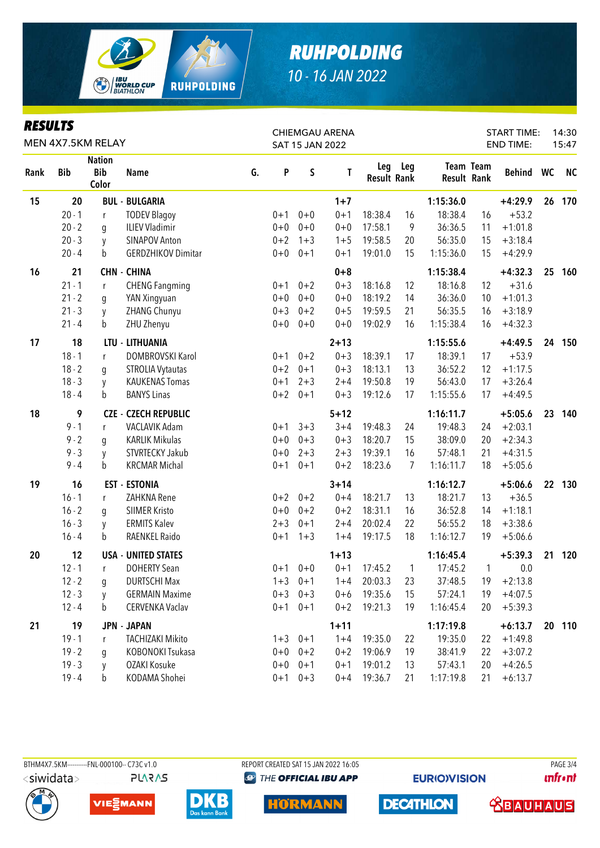

| KESULIS<br>MEN 4X7.5KM RELAY |            |                                      |                             |    |         | <b>SAT 15 JAN 2022</b> | <b>CHIEMGAU ARENA</b> |                           |     |                    |                  | <b>START TIME:</b><br><b>END TIME:</b> |         | 14:30<br>15:47 |
|------------------------------|------------|--------------------------------------|-----------------------------|----|---------|------------------------|-----------------------|---------------------------|-----|--------------------|------------------|----------------------------------------|---------|----------------|
| Rank                         | <b>Bib</b> | <b>Nation</b><br><b>Bib</b><br>Color | <b>Name</b>                 | G. | P       | S                      | T                     | Leg<br><b>Result Rank</b> | Leg | <b>Result Rank</b> | <b>Team Team</b> | Behind WC                              |         | <b>NC</b>      |
| 15                           | 20         |                                      | <b>BUL - BULGARIA</b>       |    |         |                        | $1 + 7$               |                           |     | 1:15:36.0          |                  | $+4:29.9$                              | 26      | 170            |
|                              | $20 - 1$   | r                                    | <b>TODEV Blagoy</b>         |    | $0 + 1$ | $0 + 0$                | $0 + 1$               | 18:38.4                   | 16  | 18:38.4            | 16               | $+53.2$                                |         |                |
|                              | $20 - 2$   | g                                    | <b>ILIEV Vladimir</b>       |    | $0 + 0$ | $0 + 0$                | $0 + 0$               | 17:58.1                   | 9   | 36:36.5            | 11               | $+1:01.8$                              |         |                |
|                              | $20 - 3$   | y                                    | <b>SINAPOV Anton</b>        |    | $0 + 2$ | $1 + 3$                | $1 + 5$               | 19:58.5                   | 20  | 56:35.0            | 15               | $+3:18.4$                              |         |                |
|                              | $20 - 4$   | b                                    | <b>GERDZHIKOV Dimitar</b>   |    | $0 + 0$ | $0 + 1$                | $0 + 1$               | 19:01.0                   | 15  | 1:15:36.0          | 15               | $+4:29.9$                              |         |                |
| 16                           | 21         |                                      | <b>CHN - CHINA</b>          |    |         |                        | $0 + 8$               |                           |     | 1:15:38.4          |                  | $+4:32.3$                              | 25      | 160            |
|                              | $21 - 1$   | r                                    | <b>CHENG Fangming</b>       |    | $0 + 1$ | $0 + 2$                | $0 + 3$               | 18:16.8                   | 12  | 18:16.8            | 12               | $+31.6$                                |         |                |
|                              | $21 - 2$   | g                                    | YAN Xingyuan                |    | $0 + 0$ | $0 + 0$                | $0 + 0$               | 18:19.2                   | 14  | 36:36.0            | 10               | $+1:01.3$                              |         |                |
|                              | $21 - 3$   | y                                    | ZHANG Chunyu                |    | $0 + 3$ | $0 + 2$                | $0 + 5$               | 19:59.5                   | 21  | 56:35.5            | 16               | $+3:18.9$                              |         |                |
|                              | $21 - 4$   | b                                    | ZHU Zhenyu                  |    | $0 + 0$ | $0 + 0$                | $0 + 0$               | 19:02.9                   | 16  | 1:15:38.4          | 16               | $+4:32.3$                              |         |                |
| 17                           | 18         |                                      | LTU - LITHUANIA             |    |         |                        | $2 + 13$              |                           |     | 1:15:55.6          |                  | $+4:49.5$                              | 24      | 150            |
|                              | $18 - 1$   | r                                    | DOMBROVSKI Karol            |    | $0 + 1$ | $0 + 2$                | $0 + 3$               | 18:39.1                   | 17  | 18:39.1            | 17               | $+53.9$                                |         |                |
|                              | $18 - 2$   | g                                    | <b>STROLIA Vytautas</b>     |    | $0 + 2$ | $0 + 1$                | $0 + 3$               | 18:13.1                   | 13  | 36:52.2            | 12               | $+1:17.5$                              |         |                |
|                              | $18 - 3$   | y                                    | <b>KAUKENAS Tomas</b>       |    | $0 + 1$ | $2 + 3$                | $2 + 4$               | 19:50.8                   | 19  | 56:43.0            | 17               | $+3:26.4$                              |         |                |
|                              | $18 - 4$   | b                                    | <b>BANYS Linas</b>          |    | $0 + 2$ | $0 + 1$                | $0 + 3$               | 19:12.6                   | 17  | 1:15:55.6          | 17               | $+4:49.5$                              |         |                |
| 18                           | 9          |                                      | <b>CZE - CZECH REPUBLIC</b> |    |         |                        | $5 + 12$              |                           |     | 1:16:11.7          |                  | $+5:05.6$                              | 23      | 140            |
|                              | $9 - 1$    | r                                    | VACLAVIK Adam               |    | $0 + 1$ | $3 + 3$                | $3 + 4$               | 19:48.3                   | 24  | 19:48.3            | 24               | $+2:03.1$                              |         |                |
|                              | $9 - 2$    | g                                    | <b>KARLIK Mikulas</b>       |    | $0 + 0$ | $0 + 3$                | $0 + 3$               | 18:20.7                   | 15  | 38:09.0            | 20               | $+2:34.3$                              |         |                |
|                              | $9 - 3$    | y                                    | STVRTECKY Jakub             |    | $0 + 0$ | $2 + 3$                | $2 + 3$               | 19:39.1                   | 16  | 57:48.1            | 21               | $+4:31.5$                              |         |                |
|                              | $9 - 4$    | b                                    | <b>KRCMAR Michal</b>        |    | $0 + 1$ | $0 + 1$                | $0 + 2$               | 18:23.6                   | 7   | 1:16:11.7          | 18               | $+5:05.6$                              |         |                |
| 19                           | 16         |                                      | <b>EST - ESTONIA</b>        |    |         |                        | $3 + 14$              |                           |     | 1:16:12.7          |                  | $+5:06.6$                              | $22 \,$ | 130            |
|                              | $16 - 1$   | r                                    | ZAHKNA Rene                 |    | $0 + 2$ | $0 + 2$                | $0 + 4$               | 18:21.7                   | 13  | 18:21.7            | 13               | $+36.5$                                |         |                |
|                              | $16 - 2$   | g                                    | <b>SIIMER Kristo</b>        |    | $0 + 0$ | $0 + 2$                | $0 + 2$               | 18:31.1                   | 16  | 36:52.8            | 14               | $+1:18.1$                              |         |                |
|                              | $16 - 3$   | y                                    | <b>ERMITS Kalev</b>         |    | $2 + 3$ | $0 + 1$                | $2 + 4$               | 20:02.4                   | 22  | 56:55.2            | 18               | $+3:38.6$                              |         |                |
|                              | $16 - 4$   | b                                    | RAENKEL Raido               |    | $0 + 1$ | $1 + 3$                | $1 + 4$               | 19:17.5                   | 18  | 1:16:12.7          | 19               | $+5:06.6$                              |         |                |
| 20                           | 12         |                                      | <b>USA - UNITED STATES</b>  |    |         |                        | $1 + 13$              |                           |     | 1:16:45.4          |                  | $+5:39.3$                              | 21      | 120            |
|                              | $12 - 1$   | r                                    | <b>DOHERTY Sean</b>         |    | $0 + 1$ | $0 + 0$                | $0 + 1$               | 17:45.2                   | 1   | 17:45.2            | 1                | 0.0                                    |         |                |
|                              | $12 - 2$   | g                                    | <b>DURTSCHI Max</b>         |    |         | $1+3$ 0+1              | $1 + 4$               | 20:03.3                   | 23  | 37:48.5            | 19               | $+2:13.8$                              |         |                |
|                              | $12 - 3$   | y                                    | <b>GERMAIN Maxime</b>       |    | $0 + 3$ | $0 + 3$                | $0 + 6$               | 19:35.6                   | 15  | 57:24.1            | 19               | $+4:07.5$                              |         |                |
|                              | $12 - 4$   | b                                    | CERVENKA Vaclav             |    | $0 + 1$ | $0 + 1$                | $0 + 2$               | 19:21.3                   | 19  | 1:16:45.4          | 20               | $+5:39.3$                              |         |                |
| 21                           | 19         |                                      | <b>JPN - JAPAN</b>          |    |         |                        | $1 + 11$              |                           |     | 1:17:19.8          |                  | $+6:13.7$                              |         | 20 110         |
|                              | $19 - 1$   | r                                    | <b>TACHIZAKI Mikito</b>     |    |         | $1+3$ 0+1              | $1 + 4$               | 19:35.0                   | 22  | 19:35.0            | 22               | $+1:49.8$                              |         |                |
|                              | $19 - 2$   | g                                    | KOBONOKI Tsukasa            |    | $0 + 0$ | $0 + 2$                | $0 + 2$               | 19:06.9                   | 19  | 38:41.9            | 22               | $+3:07.2$                              |         |                |
|                              | $19 - 3$   | y                                    | <b>OZAKI Kosuke</b>         |    | $0 + 0$ | $0 + 1$                | $0 + 1$               | 19:01.2                   | 13  | 57:43.1            | 20               | $+4:26.5$                              |         |                |
|                              | $19 - 4$   | $\mathsf b$                          | KODAMA Shohei               |    | $0 + 1$ | $0 + 3$                | $0 + 4$               | 19:36.7                   | 21  | 1:17:19.8          | 21               | $+6:13.7$                              |         |                |